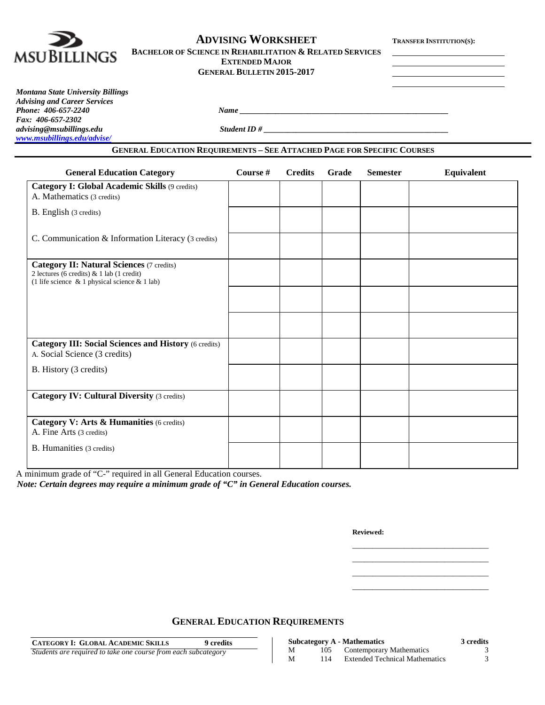

# **ADVISING WORKSHEET TRANSFER INSTITUTION(S):**

| BACHELOR OF SCIENCE IN REHABILITATION & RELATED SERVICES |                       |  |
|----------------------------------------------------------|-----------------------|--|
|                                                          | <b>EXTENDED MAJOR</b> |  |

**GENERAL BULLETIN 2015-2017**

*Montana State University Billings Advising and Career Services Phone:* 406-657-2240 *Name* <u>*Name <i>Name Name Name <i>n***<sub>1</sub>** *<b><i>Name n <i><i>n***<sub>1</sub>** *<b><i>n <i>n***<sub>1</sub>** *<b> <i><i>n**<b><i>n <i><i>n <i><i>n <i>n <i><i>n <i><i>n <i><i>n <i><i>n <i><i>n***</u>** *Fax: 406-657-2302 [www.msubillings.edu/advise/](http://www.msubillings.edu/advise/)*

*advising@msubillings.edu Student ID # \_\_\_\_\_\_\_\_\_\_\_\_\_\_\_\_\_\_\_\_\_\_\_\_\_\_\_\_\_\_\_\_\_\_\_\_\_\_\_\_\_\_\_\_\_\_*

#### **GENERAL EDUCATION REQUIREMENTS – SEE ATTACHED PAGE FOR SPECIFIC COURSES**

| <b>General Education Category</b>                                                                                                                      | Course # | <b>Credits</b> | Grade | <b>Semester</b> | <b>Equivalent</b> |
|--------------------------------------------------------------------------------------------------------------------------------------------------------|----------|----------------|-------|-----------------|-------------------|
| Category I: Global Academic Skills (9 credits)<br>A. Mathematics (3 credits)                                                                           |          |                |       |                 |                   |
| B. English (3 credits)                                                                                                                                 |          |                |       |                 |                   |
| C. Communication & Information Literacy (3 credits)                                                                                                    |          |                |       |                 |                   |
| <b>Category II: Natural Sciences (7 credits)</b><br>2 lectures (6 credits) $& 1$ lab (1 credit)<br>(1 life science $\&$ 1 physical science $\&$ 1 lab) |          |                |       |                 |                   |
|                                                                                                                                                        |          |                |       |                 |                   |
|                                                                                                                                                        |          |                |       |                 |                   |
| <b>Category III: Social Sciences and History (6 credits)</b><br>A. Social Science (3 credits)                                                          |          |                |       |                 |                   |
| B. History (3 credits)                                                                                                                                 |          |                |       |                 |                   |
| <b>Category IV: Cultural Diversity (3 credits)</b>                                                                                                     |          |                |       |                 |                   |
| Category V: Arts & Humanities (6 credits)<br>A. Fine Arts (3 credits)                                                                                  |          |                |       |                 |                   |
| B. Humanities (3 credits)                                                                                                                              |          |                |       |                 |                   |

A minimum grade of "C-" required in all General Education courses.

*Note: Certain degrees may require a minimum grade of "C" in General Education courses.*

**Reviewed:**

\_\_\_\_\_\_\_\_\_\_\_\_\_\_\_\_\_\_\_\_\_\_\_\_\_\_\_\_\_\_\_\_\_\_ \_\_\_\_\_\_\_\_\_\_\_\_\_\_\_\_\_\_\_\_\_\_\_\_\_\_\_\_\_\_\_\_\_\_ \_\_\_\_\_\_\_\_\_\_\_\_\_\_\_\_\_\_\_\_\_\_\_\_\_\_\_\_\_\_\_\_\_\_ \_\_\_\_\_\_\_\_\_\_\_\_\_\_\_\_\_\_\_\_\_\_\_\_\_\_\_\_\_\_\_\_\_\_

**GENERAL EDUCATION REQUIREMENTS**

| <b>CATEGORY I: GLOBAL ACADEMIC SKILLS</b>                      | 9 credits |
|----------------------------------------------------------------|-----------|
| Students are required to take one course from each subcategory |           |

|   |     | <b>Subcategory A - Mathematics</b>    | 3 credits |
|---|-----|---------------------------------------|-----------|
| М | 105 | Contemporary Mathematics              |           |
| М | 114 | <b>Extended Technical Mathematics</b> |           |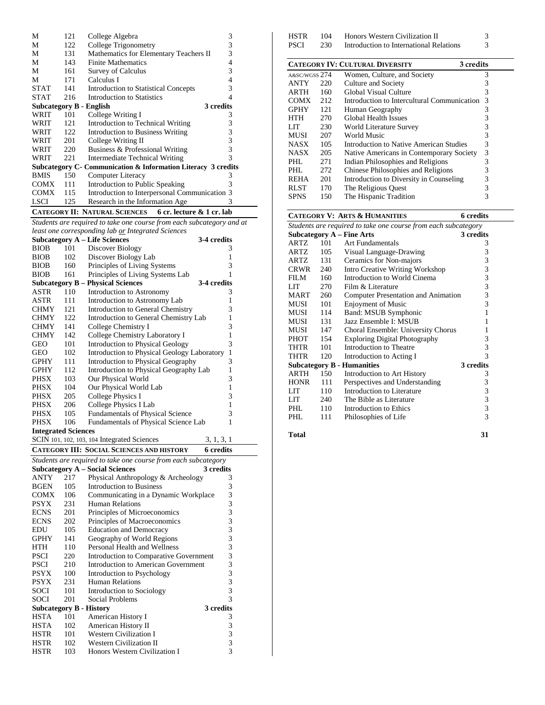| М                                                                   | 121 | College Algebra                                               | 3         |  |  |
|---------------------------------------------------------------------|-----|---------------------------------------------------------------|-----------|--|--|
| М                                                                   | 122 | College Trigonometry                                          | 3         |  |  |
| М                                                                   | 131 | Mathematics for Elementary Teachers II                        | 3         |  |  |
| М                                                                   | 143 | <b>Finite Mathematics</b>                                     | 4         |  |  |
| М                                                                   | 161 | <b>Survey of Calculus</b>                                     | 3         |  |  |
| М                                                                   | 171 | Calculus I                                                    | 4         |  |  |
| <b>STAT</b>                                                         | 141 | Introduction to Statistical Concepts                          | 3         |  |  |
| <b>STAT</b>                                                         | 216 | Introduction to Statistics                                    | 4         |  |  |
| Subcategory B - English                                             |     |                                                               | 3 credits |  |  |
| WRIT                                                                | 101 | College Writing I                                             | 3         |  |  |
| WRIT                                                                | 121 | Introduction to Technical Writing                             | 3         |  |  |
| WRIT                                                                | 122 | 3<br>Introduction to Business Writing                         |           |  |  |
| WRIT                                                                | 201 | 3<br>College Writing II                                       |           |  |  |
| WRIT                                                                | 220 | 3<br>Business & Professional Writing                          |           |  |  |
| WRIT                                                                | 221 | Intermediate Technical Writing                                | 3         |  |  |
|                                                                     |     | Subcategory C- Communication & Information Literacy 3 credits |           |  |  |
| <b>BMIS</b>                                                         | 150 | Computer Literacy                                             | 3         |  |  |
| <b>COMX</b>                                                         | 111 | Introduction to Public Speaking<br>3                          |           |  |  |
| <b>COMX</b><br>Introduction to Interpersonal Communication 3<br>115 |     |                                                               |           |  |  |
| <b>LSCI</b>                                                         | 125 | Research in the Information Age                               | 3         |  |  |
| <b>CATEGORY II: NATURAL SCIENCES</b><br>6 cr. lecture & 1 cr. lab   |     |                                                               |           |  |  |

*Students are required to take one course from each subcategory and at least one corresponding lab or Integrated Sciences*

| HSTR<br>PSCI    | 104<br>230      | Honors Western Civilization II<br>Introduction to International Relations                            | 3<br>3        |  |
|-----------------|-----------------|------------------------------------------------------------------------------------------------------|---------------|--|
|                 |                 | <b>CATEGORY IV: CULTURAL DIVERSITY</b>                                                               | 3 credits     |  |
| a≻/wgss 274     |                 | Women, Culture, and Society                                                                          | 3             |  |
| ANTY            | 220             | Culture and Society                                                                                  | 3             |  |
| ARTH            | 160             | Global Visual Culture                                                                                | 3             |  |
| COMX            | 212             | Introduction to Intercultural Communication                                                          | $\mathcal{R}$ |  |
| GPHY            | 121             | Human Geography                                                                                      | 3             |  |
| HTH             | 270             | Global Health Issues                                                                                 | 3             |  |
| LIT             | 230             | World Literature Survey                                                                              | 3             |  |
| MUSI            | 207             | World Music                                                                                          | 3             |  |
| <b>ATA CITZ</b> | 10 <sup>h</sup> | T.D. T. C. A. M. A. M. A. M. A. M. A. M. A. M. A. M. A. M. A. M. A. M. A. M. A. M. A. M. A. M. A. M. |               |  |

| <b>NASX</b> | 105 | Introduction to Native American Studies  |   |
|-------------|-----|------------------------------------------|---|
| <b>NASX</b> | 205 | Native Americans in Contemporary Society | 3 |
| PHL         | 271 | Indian Philosophies and Religions        |   |
| PHL         | 272 | Chinese Philosophies and Religions       |   |
| <b>REHA</b> | 201 | Introduction to Diversity in Counseling  |   |
| <b>RLST</b> | 170 | The Religious Quest                      |   |
| <b>SPNS</b> | 150 | The Hispanic Tradition                   |   |

|                                                                |     | <b>CATEGORY V: ARTS &amp; HUMANITIES</b>   | <b>6</b> credits |  |  |  |  |
|----------------------------------------------------------------|-----|--------------------------------------------|------------------|--|--|--|--|
| Students are required to take one course from each subcategory |     |                                            |                  |  |  |  |  |
|                                                                |     | <b>Subcategory A - Fine Arts</b>           | 3 credits        |  |  |  |  |
| ARTZ                                                           | 101 | Art Fundamentals                           | 3                |  |  |  |  |
| ARTZ                                                           | 105 | Visual Language-Drawing                    | 3                |  |  |  |  |
| ARTZ                                                           | 131 | Ceramics for Non-majors                    | 3                |  |  |  |  |
| CRWR                                                           | 240 | Intro Creative Writing Workshop            | 3                |  |  |  |  |
| FILM                                                           | 160 | Introduction to World Cinema               | 3                |  |  |  |  |
| LIT                                                            | 270 | Film & Literature                          | 3                |  |  |  |  |
| MART                                                           | 260 | <b>Computer Presentation and Animation</b> | 3                |  |  |  |  |
| MUSI                                                           | 101 | <b>Enjoyment of Music</b>                  | 3                |  |  |  |  |
| MUSI                                                           | 114 | Band: MSUB Symphonic                       | 1                |  |  |  |  |
| MUSI                                                           | 131 | Jazz Ensemble I: MSUB                      | 1                |  |  |  |  |
| MUSI                                                           | 147 | Choral Ensemble: University Chorus         | 1                |  |  |  |  |
| PHOT                                                           | 154 | <b>Exploring Digital Photography</b>       | 3                |  |  |  |  |
| THTR                                                           | 101 | Introduction to Theatre                    | 3                |  |  |  |  |
| THTR                                                           | 120 | Introduction to Acting I                   | 3                |  |  |  |  |
|                                                                |     | <b>Subcategory B - Humanities</b>          | 3 credits        |  |  |  |  |
| ARTH                                                           | 150 | Introduction to Art History                | 3                |  |  |  |  |
| <b>HONR</b>                                                    | 111 | Perspectives and Understanding             | 3                |  |  |  |  |
| LIT                                                            | 110 | Introduction to Literature                 | 3                |  |  |  |  |
| LIT                                                            | 240 | The Bible as Literature                    | 3                |  |  |  |  |
| PHL.                                                           | 110 | Introduction to Ethics                     | 3                |  |  |  |  |
| PHI.                                                           | 111 | Philosophies of Life                       | 3                |  |  |  |  |
|                                                                |     |                                            |                  |  |  |  |  |

**Total 31**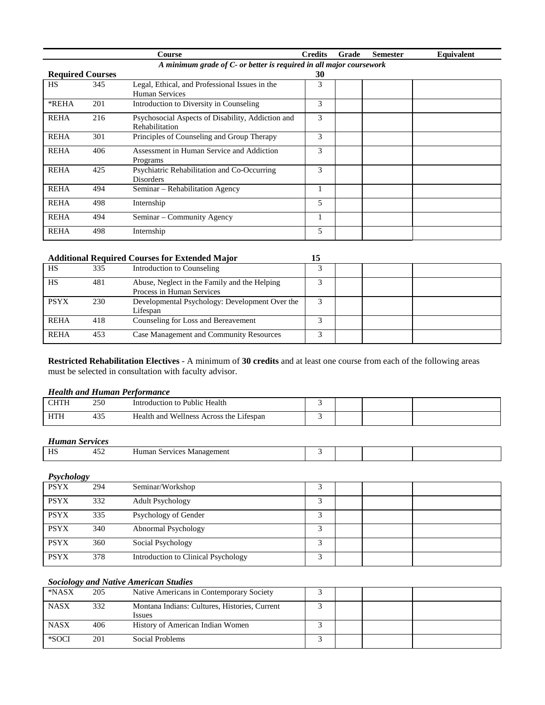|                         |                                                                     | Course                                                              | <b>Credits</b> | Grade | <b>Semester</b> | Equivalent |  |  |  |  |
|-------------------------|---------------------------------------------------------------------|---------------------------------------------------------------------|----------------|-------|-----------------|------------|--|--|--|--|
|                         | A minimum grade of C- or better is required in all major coursework |                                                                     |                |       |                 |            |  |  |  |  |
| <b>Required Courses</b> |                                                                     |                                                                     | 30             |       |                 |            |  |  |  |  |
| <b>HS</b>               | 345                                                                 | Legal, Ethical, and Professional Issues in the<br>Human Services    | 3              |       |                 |            |  |  |  |  |
| *REHA                   | 201                                                                 | Introduction to Diversity in Counseling                             | 3              |       |                 |            |  |  |  |  |
| <b>REHA</b>             | 216                                                                 | Psychosocial Aspects of Disability, Addiction and<br>Rehabilitation | 3              |       |                 |            |  |  |  |  |
| <b>REHA</b>             | 301                                                                 | Principles of Counseling and Group Therapy                          | 3              |       |                 |            |  |  |  |  |
| <b>REHA</b>             | 406                                                                 | Assessment in Human Service and Addiction<br>Programs               | 3              |       |                 |            |  |  |  |  |
| <b>REHA</b>             | 425                                                                 | Psychiatric Rehabilitation and Co-Occurring<br><b>Disorders</b>     | 3              |       |                 |            |  |  |  |  |
| <b>REHA</b>             | 494                                                                 | Seminar – Rehabilitation Agency                                     |                |       |                 |            |  |  |  |  |
| <b>REHA</b>             | 498                                                                 | Internship                                                          | 5              |       |                 |            |  |  |  |  |
| <b>REHA</b>             | 494                                                                 | Seminar - Community Agency                                          |                |       |                 |            |  |  |  |  |
| <b>REHA</b>             | 498                                                                 | Internship                                                          | 5              |       |                 |            |  |  |  |  |

#### **Additional Required Courses for Extended Major 15**

| HS          | 335 | Introduction to Counseling                                                |  |  |
|-------------|-----|---------------------------------------------------------------------------|--|--|
| HS          | 481 | Abuse, Neglect in the Family and the Helping<br>Process in Human Services |  |  |
| <b>PSYX</b> | 230 | Developmental Psychology: Development Over the<br>Lifespan                |  |  |
| <b>REHA</b> | 418 | Counseling for Loss and Bereavement                                       |  |  |
| <b>REHA</b> | 453 | Case Management and Community Resources                                   |  |  |

**Restricted Rehabilitation Electives** - A minimum of **30 credits** and at least one course from each of the following areas must be selected in consultation with faculty advisor.

#### *Health and Human Performance*

|                    | 250         | Health<br>. Public<br>oduction<br>.                        |  |  |
|--------------------|-------------|------------------------------------------------------------|--|--|
| HТ<br><b>TTTTT</b> | τJ.<br>$ -$ | .<br>Wellness<br>Health and<br>, the<br>Across<br>Lifespan |  |  |

## *Human Services*

| HS | ™∸ | Human<br>$\alpha$ rvicoc<br>nent<br>Managen<br>.vices<br>۰D |  |  |
|----|----|-------------------------------------------------------------|--|--|
|    |    |                                                             |  |  |

| Psychology  |     |                                     |   |  |  |
|-------------|-----|-------------------------------------|---|--|--|
| <b>PSYX</b> | 294 | Seminar/Workshop                    |   |  |  |
| <b>PSYX</b> | 332 | <b>Adult Psychology</b>             | 3 |  |  |
| <b>PSYX</b> | 335 | Psychology of Gender                |   |  |  |
| <b>PSYX</b> | 340 | Abnormal Psychology                 | 3 |  |  |
| <b>PSYX</b> | 360 | Social Psychology                   |   |  |  |
| <b>PSYX</b> | 378 | Introduction to Clinical Psychology | 2 |  |  |

#### *Sociology and Native American Studies*

| *NASX       | 205 | Native Americans in Contemporary Society                       |  |  |
|-------------|-----|----------------------------------------------------------------|--|--|
| <b>NASX</b> | 332 | Montana Indians: Cultures, Histories, Current<br><i>Issues</i> |  |  |
| <b>NASX</b> | 406 | History of American Indian Women                               |  |  |
| *SOCI       | 201 | Social Problems                                                |  |  |